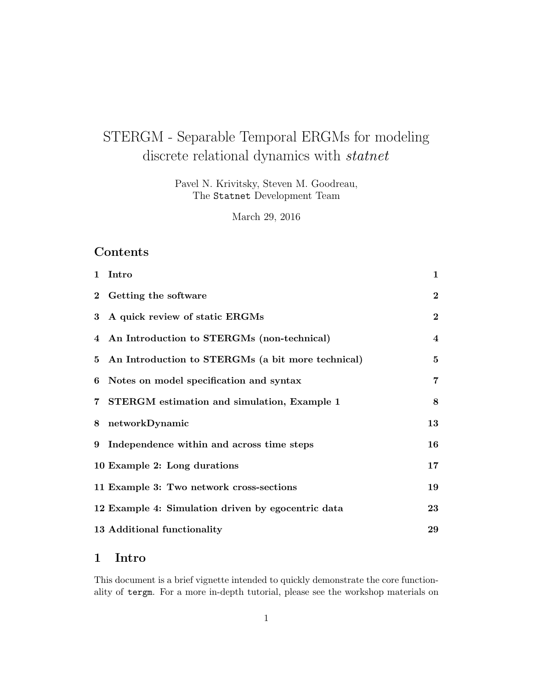# STERGM - Separable Temporal ERGMs for modeling discrete relational dynamics with *statnet*

Pavel N. Krivitsky, Steven M. Goodreau, The Statnet Development Team

March 29, 2016

# Contents

| 1 Intro                                             | $\mathbf{1}$            |
|-----------------------------------------------------|-------------------------|
| 2 Getting the software                              | $\overline{2}$          |
| 3 A quick review of static ERGMs                    | $\bf{2}$                |
| 4 An Introduction to STERGMs (non-technical)        | $\overline{\mathbf{4}}$ |
| 5 An Introduction to STERGMs (a bit more technical) | $5\overline{)}$         |
| 6 Notes on model specification and syntax           | $\overline{7}$          |
| 7 STERGM estimation and simulation, Example 1       | 8                       |
| 8 networkDynamic                                    | 13                      |
| 9 Independence within and across time steps         | 16                      |
| 10 Example 2: Long durations                        | 17                      |
| 11 Example 3: Two network cross-sections            | 19                      |
| 12 Example 4: Simulation driven by egocentric data  | 23                      |
| 13 Additional functionality                         | 29                      |

# 1 Intro

This document is a brief vignette intended to quickly demonstrate the core functionality of tergm. For a more in-depth tutorial, please see the workshop materials on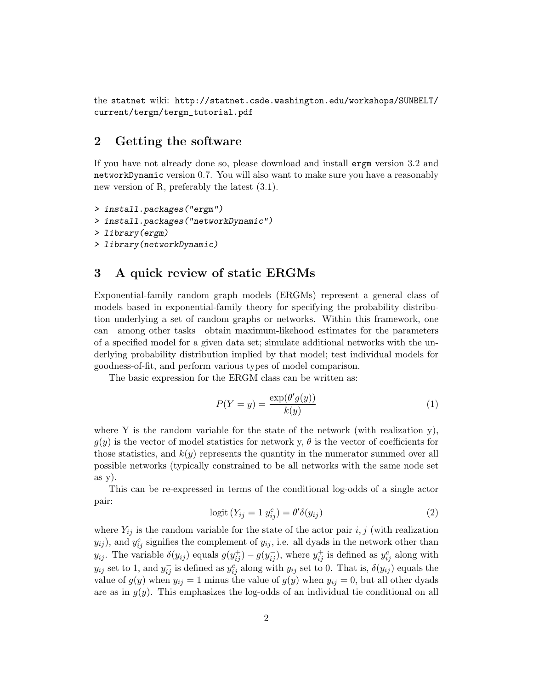the statnet wiki: http://statnet.csde.washington.edu/workshops/SUNBELT/ current/tergm/tergm\_tutorial.pdf

### 2 Getting the software

If you have not already done so, please download and install ergm version 3.2 and networkDynamic version 0.7. You will also want to make sure you have a reasonably new version of R, preferably the latest (3.1).

```
> install.packages("ergm")
> install.packages("networkDynamic")
> library(ergm)
> library(networkDynamic)
```
### 3 A quick review of static ERGMs

Exponential-family random graph models (ERGMs) represent a general class of models based in exponential-family theory for specifying the probability distribution underlying a set of random graphs or networks. Within this framework, one can—among other tasks—obtain maximum-likehood estimates for the parameters of a specified model for a given data set; simulate additional networks with the underlying probability distribution implied by that model; test individual models for goodness-of-fit, and perform various types of model comparison.

The basic expression for the ERGM class can be written as:

$$
P(Y = y) = \frac{\exp(\theta'g(y))}{k(y)}\tag{1}
$$

where Y is the random variable for the state of the network (with realization  $y$ ),  $g(y)$  is the vector of model statistics for network y,  $\theta$  is the vector of coefficients for those statistics, and  $k(y)$  represents the quantity in the numerator summed over all possible networks (typically constrained to be all networks with the same node set  $as *v*$ ).

This can be re-expressed in terms of the conditional log-odds of a single actor pair:

$$
logit (Y_{ij} = 1 | y_{ij}^c) = \theta' \delta(y_{ij})
$$
\n(2)

where  $Y_{ij}$  is the random variable for the state of the actor pair i, j (with realization  $y_{ij}$ ), and  $y_{ij}^c$  signifies the complement of  $y_{ij}$ , i.e. all dyads in the network other than  $y_{ij}$ . The variable  $\delta(y_{ij})$  equals  $g(y_{ij}^+) - g(y_{ij}^-)$ , where  $y_{ij}^+$  is defined as  $y_{ij}^c$  along with  $y_{ij}$  set to 1, and  $y_{ij}^-$  is defined as  $y_{ij}^c$  along with  $y_{ij}$  set to 0. That is,  $\delta(y_{ij})$  equals the value of  $g(y)$  when  $y_{ij} = 1$  minus the value of  $g(y)$  when  $y_{ij} = 0$ , but all other dyads are as in  $g(y)$ . This emphasizes the log-odds of an individual tie conditional on all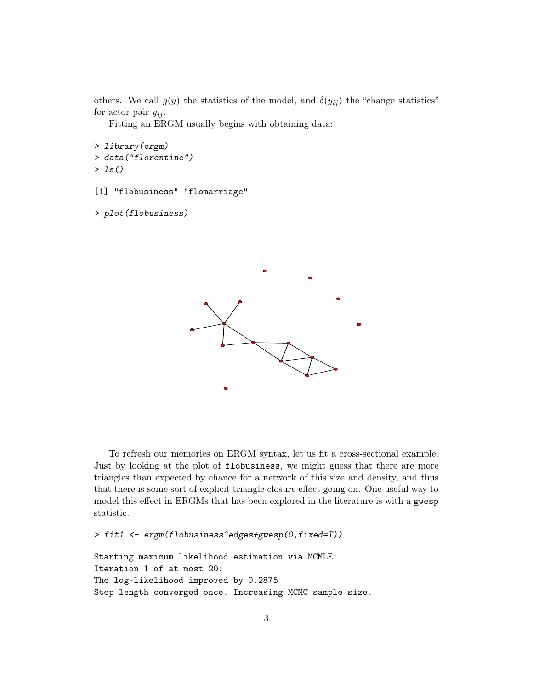others. We call  $g(y)$  the statistics of the model, and  $\delta(y_{ij})$  the "change statistics" for actor pair  $y_{ij}$ .

Fitting an ERGM usually begins with obtaining data:

> library(ergm) > data("florentine")  $> 1s()$ 

[1] "flobusiness" "flomarriage"

> plot(flobusiness)



To refresh our memories on ERGM syntax, let us fit a cross-sectional example. Just by looking at the plot of flobusiness, we might guess that there are more triangles than expected by chance for a network of this size and density, and thus that there is some sort of explicit triangle closure effect going on. One useful way to model this effect in ERGMs that has been explored in the literature is with a gwesp statistic.

> fit1 <- ergm(flobusiness~edges+gwesp(0,fixed=T))

```
Starting maximum likelihood estimation via MCMLE:
Iteration 1 of at most 20:
The log-likelihood improved by 0.2875
Step length converged once. Increasing MCMC sample size.
```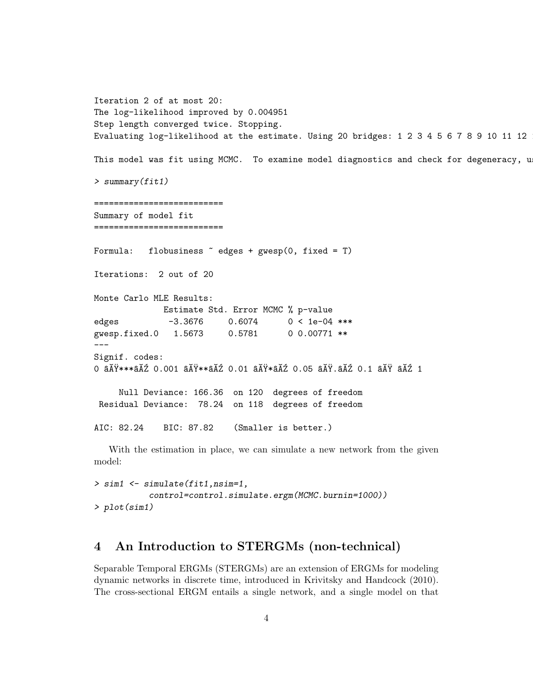Iteration 2 of at most 20: The log-likelihood improved by 0.004951 Step length converged twice. Stopping. Evaluating log-likelihood at the estimate. Using 20 bridges:  $1\ 2\ 3\ 4\ 5\ 6\ 7\ 8\ 9\ 10\ 11\ 12$ This model was fit using MCMC. To examine model diagnostics and check for degeneracy, u > summary(fit1) ========================== Summary of model fit ========================== Formula: flobusiness  $\tilde{\phantom{a}}$  edges + gwesp(0, fixed = T) Iterations: 2 out of 20 Monte Carlo MLE Results: Estimate Std. Error MCMC % p-value edges -3.3676 0.6074 0 < 1e-04 \*\*\* gwesp.fixed.0 1.5673 0.5781 0 0.00771 \*\* --- Signif. codes: 0 âĂŸ\*\*\*âĂŹ 0.001 âĂŸ\*\*âĂŹ 0.01 âĂŸ\*âĂŹ 0.05 âĂŸ.âĂŹ 0.1 âĂŸ âĂŹ 1 Null Deviance: 166.36 on 120 degrees of freedom Residual Deviance: 78.24 on 118 degrees of freedom AIC: 82.24 BIC: 87.82 (Smaller is better.) With the estimation in place, we can simulate a new network from the given

```
> sim1 <- simulate(fit1,nsim=1,
           control=control.simulate.ergm(MCMC.burnin=1000))
> plot(sim1)
```
model:

### 4 An Introduction to STERGMs (non-technical)

Separable Temporal ERGMs (STERGMs) are an extension of ERGMs for modeling dynamic networks in discrete time, introduced in Krivitsky and Handcock (2010). The cross-sectional ERGM entails a single network, and a single model on that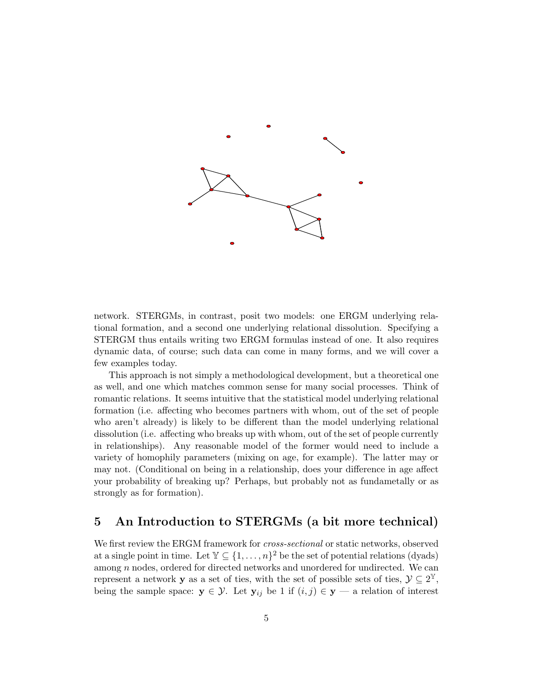

network. STERGMs, in contrast, posit two models: one ERGM underlying relational formation, and a second one underlying relational dissolution. Specifying a STERGM thus entails writing two ERGM formulas instead of one. It also requires dynamic data, of course; such data can come in many forms, and we will cover a few examples today.

This approach is not simply a methodological development, but a theoretical one as well, and one which matches common sense for many social processes. Think of romantic relations. It seems intuitive that the statistical model underlying relational formation (i.e. affecting who becomes partners with whom, out of the set of people who aren't already) is likely to be different than the model underlying relational dissolution (i.e. affecting who breaks up with whom, out of the set of people currently in relationships). Any reasonable model of the former would need to include a variety of homophily parameters (mixing on age, for example). The latter may or may not. (Conditional on being in a relationship, does your difference in age affect your probability of breaking up? Perhaps, but probably not as fundametally or as strongly as for formation).

### 5 An Introduction to STERGMs (a bit more technical)

We first review the ERGM framework for *cross-sectional* or static networks, observed at a single point in time. Let  $\mathbb{Y} \subseteq \{1, \ldots, n\}^2$  be the set of potential relations (dyads) among  $n$  nodes, ordered for directed networks and unordered for undirected. We can represent a network **y** as a set of ties, with the set of possible sets of ties,  $\mathcal{Y} \subseteq 2^{\mathbb{Y}},$ being the sample space:  $y \in \mathcal{Y}$ . Let  $y_{ij}$  be 1 if  $(i, j) \in y$  — a relation of interest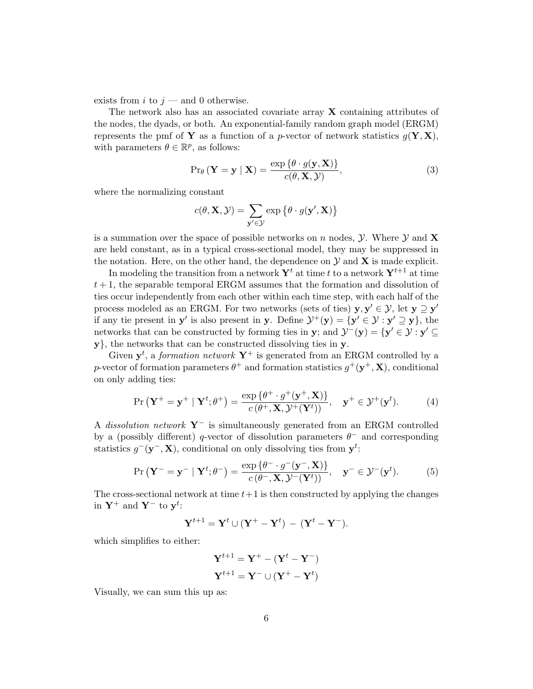exists from i to  $j$  — and 0 otherwise.

The network also has an associated covariate array X containing attributes of the nodes, the dyads, or both. An exponential-family random graph model (ERGM) represents the pmf of Y as a function of a p-vector of network statistics  $g(Y, X)$ , with parameters  $\theta \in \mathbb{R}^p$ , as follows:

$$
\Pr_{\theta} \left( \mathbf{Y} = \mathbf{y} \mid \mathbf{X} \right) = \frac{\exp \{ \theta \cdot g(\mathbf{y}, \mathbf{X}) \}}{c(\theta, \mathbf{X}, \mathcal{Y})},\tag{3}
$$

where the normalizing constant

$$
c(\theta, \mathbf{X}, \mathcal{Y}) = \sum_{\mathbf{y}' \in \mathcal{Y}} \exp \left\{ \theta \cdot g(\mathbf{y}', \mathbf{X}) \right\}
$$

is a summation over the space of possible networks on n nodes,  $\mathcal{Y}$ . Where  $\mathcal{Y}$  and **X** are held constant, as in a typical cross-sectional model, they may be suppressed in the notation. Here, on the other hand, the dependence on  $\mathcal Y$  and  $\mathbf X$  is made explicit.

In modeling the transition from a network  $Y<sup>t</sup>$  at time t to a network  $Y<sup>t+1</sup>$  at time  $t + 1$ , the separable temporal ERGM assumes that the formation and dissolution of ties occur independently from each other within each time step, with each half of the process modeled as an ERGM. For two networks (sets of ties)  $y, y' \in \mathcal{Y}$ , let  $y \supseteq y'$ if any tie present in **y'** is also present in **y**. Define  $\mathcal{Y}^+(\mathbf{y}) = {\mathbf{y}' \in \mathcal{Y} : \mathbf{y}' \supseteq \mathbf{y}}$ , the networks that can be constructed by forming ties in y; and  $\mathcal{Y}^{-}(y) = \{y' \in \mathcal{Y} : y' \subseteq$ y}, the networks that can be constructed dissolving ties in y.

Given  $y^t$ , a *formation network*  $Y^+$  is generated from an ERGM controlled by a p-vector of formation parameters  $\theta^+$  and formation statistics  $g^+(\mathbf{y}^+, \mathbf{X})$ , conditional on only adding ties:

$$
\Pr\left(\mathbf{Y}^+ = \mathbf{y}^+ \mid \mathbf{Y}^t; \theta^+\right) = \frac{\exp\left\{\theta^+ \cdot g^+(\mathbf{y}^+, \mathbf{X})\right\}}{c\left(\theta^+, \mathbf{X}, \mathcal{Y}^+(\mathbf{Y}^t)\right)}, \quad \mathbf{y}^+ \in \mathcal{Y}^+(\mathbf{y}^t). \tag{4}
$$

A dissolution network  $Y^-$  is simultaneously generated from an ERGM controlled by a (possibly different) q-vector of dissolution parameters  $\theta^-$  and corresponding statistics  $g^-(\mathbf{y}^-,\mathbf{X})$ , conditional on only dissolving ties from  $\mathbf{y}^t$ :

$$
\Pr\left(\mathbf{Y}^{-}=\mathbf{y}^{-} \mid \mathbf{Y}^{t}; \theta^{-}\right)=\frac{\exp\left\{\theta^{-} \cdot g^{-}(\mathbf{y}^{-}, \mathbf{X})\right\}}{c\left(\theta^{-}, \mathbf{X}, \mathcal{Y}^{-}(\mathbf{Y}^{t})\right)}, \quad \mathbf{y}^{-} \in \mathcal{Y}^{-}(\mathbf{y}^{t}).
$$
 (5)

The cross-sectional network at time  $t+1$  is then constructed by applying the changes in  $\mathbf{Y}^+$  and  $\mathbf{Y}^-$  to  $\mathbf{y}^t$ :

$$
Y^{t+1} = Y^t \cup (Y^+ - Y^t) - (Y^t - Y^-).
$$

which simplifies to either:

$$
\mathbf{Y}^{t+1} = \mathbf{Y}^+ - (\mathbf{Y}^t - \mathbf{Y}^-)
$$

$$
\mathbf{Y}^{t+1} = \mathbf{Y}^- \cup (\mathbf{Y}^+ - \mathbf{Y}^t)
$$

Visually, we can sum this up as: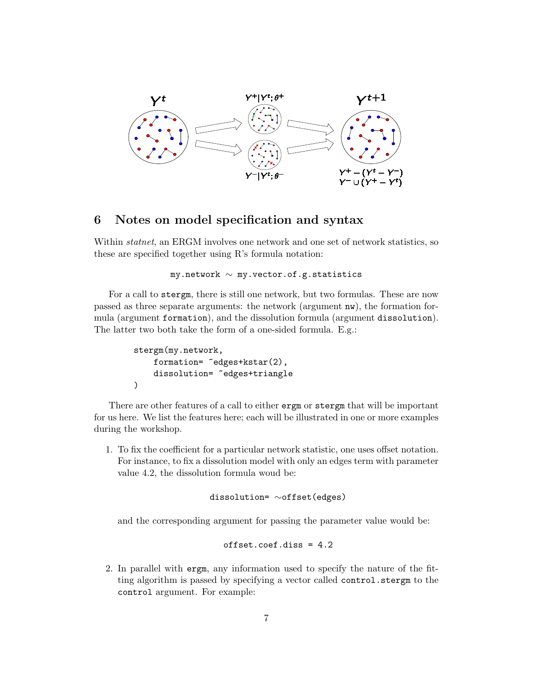

### 6 Notes on model specification and syntax

Within *statnet*, an ERGM involves one network and one set of network statistics, so these are specified together using R's formula notation:

```
my.network ∼ my.vector.of.g.statistics
```
For a call to stergm, there is still one network, but two formulas. These are now passed as three separate arguments: the network (argument nw), the formation formula (argument formation), and the dissolution formula (argument dissolution). The latter two both take the form of a one-sided formula. E.g.:

```
stergm(my.network,
    formation= "edges+kstar(2),
    dissolution= ~edges+triangle
)
```
There are other features of a call to either ergm or stergm that will be important for us here. We list the features here; each will be illustrated in one or more examples during the workshop.

1. To fix the coefficient for a particular network statistic, one uses offset notation. For instance, to fix a dissolution model with only an edges term with parameter value 4.2, the dissolution formula woud be:

dissolution= ∼offset(edges)

and the corresponding argument for passing the parameter value would be:

offset.coef.diss = 4.2

2. In parallel with ergm, any information used to specify the nature of the fitting algorithm is passed by specifying a vector called control.stergm to the control argument. For example: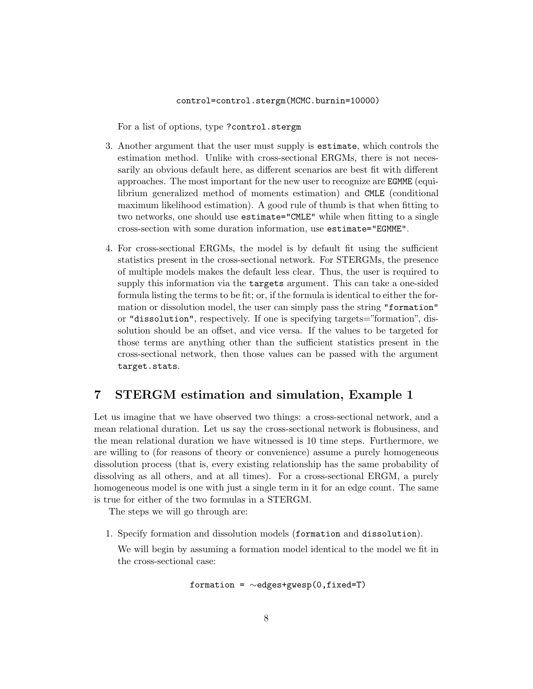#### control=control.stergm(MCMC.burnin=10000)

For a list of options, type ?control.stergm

- 3. Another argument that the user must supply is estimate, which controls the estimation method. Unlike with cross-sectional ERGMs, there is not necessarily an obvious default here, as different scenarios are best fit with different approaches. The most important for the new user to recognize are EGMME (equilibrium generalized method of moments estimation) and CMLE (conditional maximum likelihood estimation). A good rule of thumb is that when fitting to two networks, one should use estimate="CMLE" while when fitting to a single cross-section with some duration information, use estimate="EGMME".
- 4. For cross-sectional ERGMs, the model is by default fit using the sufficient statistics present in the cross-sectional network. For STERGMs, the presence of multiple models makes the default less clear. Thus, the user is required to supply this information via the targets argument. This can take a one-sided formula listing the terms to be fit; or, if the formula is identical to either the formation or dissolution model, the user can simply pass the string "formation" or "dissolution", respectively. If one is specifying targets="formation", dissolution should be an offset, and vice versa. If the values to be targeted for those terms are anything other than the sufficient statistics present in the cross-sectional network, then those values can be passed with the argument target.stats.

### 7 STERGM estimation and simulation, Example 1

Let us imagine that we have observed two things: a cross-sectional network, and a mean relational duration. Let us say the cross-sectional network is flobusiness, and the mean relational duration we have witnessed is 10 time steps. Furthermore, we are willing to (for reasons of theory or convenience) assume a purely homogeneous dissolution process (that is, every existing relationship has the same probability of dissolving as all others, and at all times). For a cross-sectional ERGM, a purely homogeneous model is one with just a single term in it for an edge count. The same is true for either of the two formulas in a STERGM.

The steps we will go through are:

1. Specify formation and dissolution models (formation and dissolution).

We will begin by assuming a formation model identical to the model we fit in the cross-sectional case:

$$
\texttt{formation = } \sim \text{edges+gwesp}(0, \texttt{fixed=T})
$$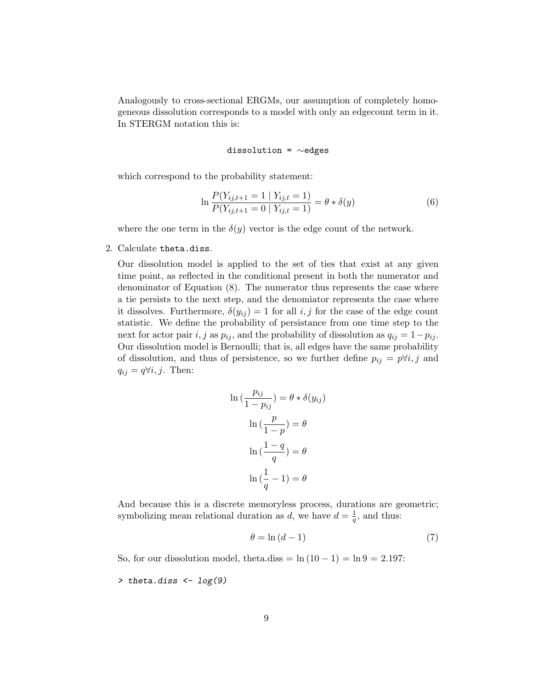Analogously to cross-sectional ERGMs, our assumption of completely homogeneous dissolution corresponds to a model with only an edgecount term in it. In STERGM notation this is:

### dissolution = ∼edges

which correspond to the probability statement:

$$
\ln \frac{P(Y_{ij,t+1} = 1 | Y_{ij,t} = 1)}{P(Y_{ij,t+1} = 0 | Y_{ij,t} = 1)} = \theta * \delta(y)
$$
\n(6)

where the one term in the  $\delta(y)$  vector is the edge count of the network.

2. Calculate theta.diss.

Our dissolution model is applied to the set of ties that exist at any given time point, as reflected in the conditional present in both the numerator and denominator of Equation (8). The numerator thus represents the case where a tie persists to the next step, and the denomiator represents the case where it dissolves. Furthermore,  $\delta(y_{ij}) = 1$  for all i, j for the case of the edge count statistic. We define the probability of persistance from one time step to the next for actor pair i, j as  $p_{ij}$ , and the probability of dissolution as  $q_{ij} = 1-p_{ij}$ . Our dissolution model is Bernoulli; that is, all edges have the same probability of dissolution, and thus of persistence, so we further define  $p_{ij} = p \forall i, j$  and  $q_{ij} = q \forall i, j$ . Then:

$$
\ln\left(\frac{p_{ij}}{1-p_{ij}}\right) = \theta * \delta(y_{ij})
$$

$$
\ln\left(\frac{p}{1-p}\right) = \theta
$$

$$
\ln\left(\frac{1-q}{q}\right) = \theta
$$

$$
\ln\left(\frac{1}{q} - 1\right) = \theta
$$

And because this is a discrete memoryless process, durations are geometric; symbolizing mean relational duration as d, we have  $d = \frac{1}{a}$  $\frac{1}{q}$ , and thus:

$$
\theta = \ln\left(d - 1\right) \tag{7}
$$

So, for our dissolution model, theta.diss =  $\ln(10 - 1) = \ln 9 = 2.197$ :

> theta.diss <- log(9)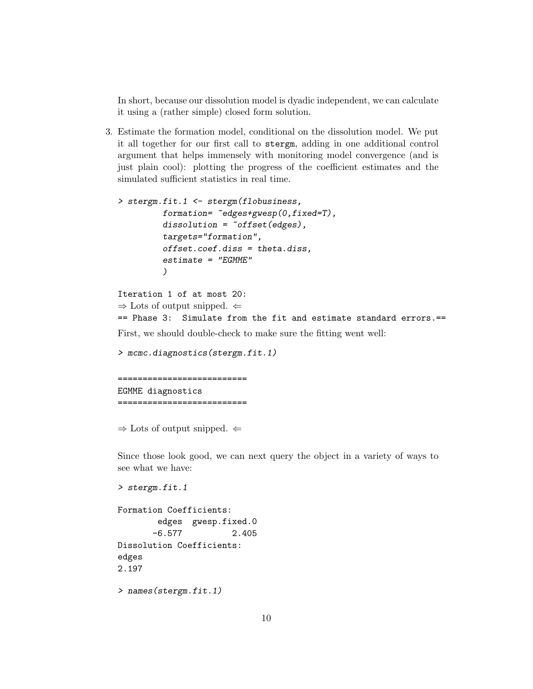In short, because our dissolution model is dyadic independent, we can calculate it using a (rather simple) closed form solution.

3. Estimate the formation model, conditional on the dissolution model. We put it all together for our first call to stergm, adding in one additional control argument that helps immensely with monitoring model convergence (and is just plain cool): plotting the progress of the coefficient estimates and the simulated sufficient statistics in real time.

```
> stergm.fit.1 <- stergm(flobusiness,
         formation = \text{°edges+guesp}(0, fixed=T),
         dissolution = "offset(edges),targets="formation",
         offset.coef.diss = theta.diss,
         estimate = "EGMME")
```

```
Iteration 1 of at most 20:
\Rightarrow Lots of output snipped. \Leftarrow== Phase 3: Simulate from the fit and estimate standard errors.==
```
First, we should double-check to make sure the fitting went well:

```
> mcmc.diagnostics(stergm.fit.1)
```

```
==========================
EGMME diagnostics
==========================
```
 $\Rightarrow$  Lots of output snipped.  $\Leftarrow$ 

> stergm.fit.1

Since those look good, we can next query the object in a variety of ways to see what we have:

```
Formation Coefficients:
       edges gwesp.fixed.0
      -6.577 2.405
Dissolution Coefficients:
edges
2.197
```
> names(stergm.fit.1)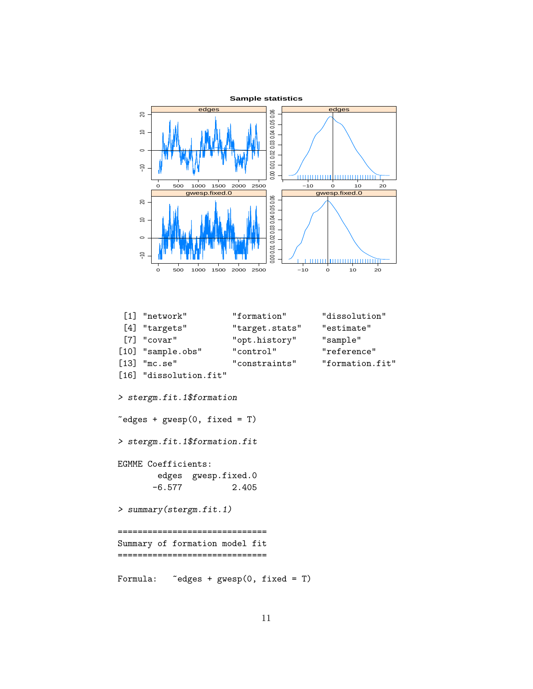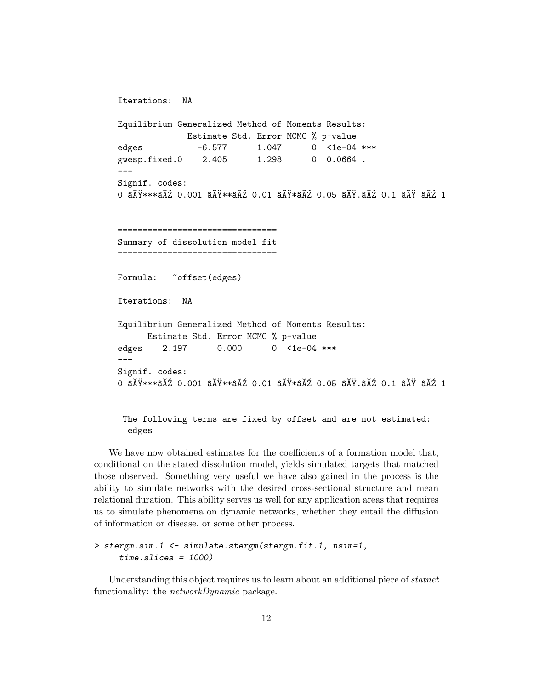```
Iterations: NA
Equilibrium Generalized Method of Moments Results:
               Estimate Std. Error MCMC % p-value
edges   -6.577   1.047   0 <1e-04 ***
gwesp.fixed.0 2.405 1.298 0 0.0664 .
---
Signif. codes:
0 âĂŸ***âĂŹ 0.001 âĂŸ**âĂŹ 0.01 âĂŸ*âĂŹ 0.05 âĂŸ.âĂŹ 0.1 âĂŸ âĂŹ 1
   ================================
Summary of dissolution model fit
================================
Formula: "offset(edges)
Iterations: NA
Equilibrium Generalized Method of Moments Results:
      Estimate Std. Error MCMC % p-value
edges 2.197 0.000 0 <1e-04 ***
---
Signif. codes:
0 a\overline{A}Ÿ***a\overline{A}Z 0.001 a\overline{A}Ÿ**a\overline{A}Z 0.01 a\overline{A}Y^*a\overline{A}Z 0.05 a\overline{A}Y.a\overline{A}Z 0.1 a\overline{A}Y a\overline{A}Z 1
```
### The following terms are fixed by offset and are not estimated: edges

We have now obtained estimates for the coefficients of a formation model that, conditional on the stated dissolution model, yields simulated targets that matched those observed. Something very useful we have also gained in the process is the ability to simulate networks with the desired cross-sectional structure and mean relational duration. This ability serves us well for any application areas that requires us to simulate phenomena on dynamic networks, whether they entail the diffusion of information or disease, or some other process.

```
> stergm.sim.1 <- simulate.stergm(stergm.fit.1, nsim=1,
     time.slices = 1000)
```
Understanding this object requires us to learn about an additional piece of *statnet* functionality: the *networkDynamic* package.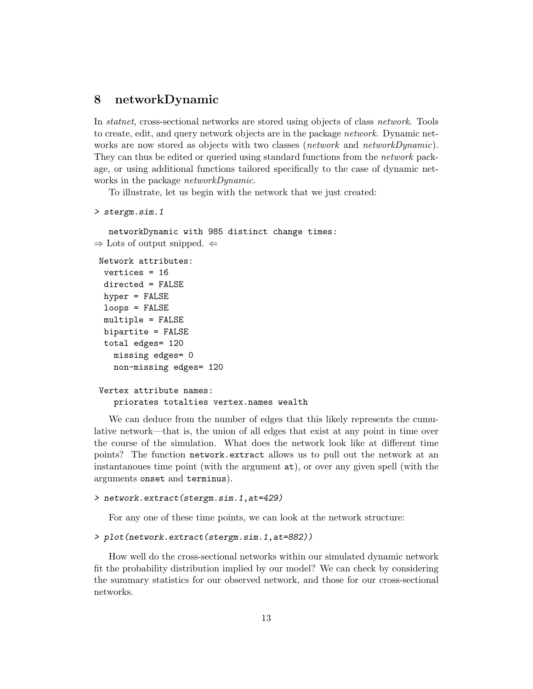### 8 networkDynamic

In statnet, cross-sectional networks are stored using objects of class network. Tools to create, edit, and query network objects are in the package *network*. Dynamic networks are now stored as objects with two classes (*network* and *networkDynamic*). They can thus be edited or queried using standard functions from the network package, or using additional functions tailored specifically to the case of dynamic networks in the package *networkDynamic*.

To illustrate, let us begin with the network that we just created:

```
> stergm.sim.1
```
networkDynamic with 985 distinct change times:  $\Rightarrow$  Lots of output snipped.  $\Leftarrow$ 

```
Network attributes:
 vertices = 16
 directed = FALSE
 hyper = FALSE
 loops = FALSE
 multiple = FALSE
 bipartite = FALSE
 total edges= 120
   missing edges= 0
   non-missing edges= 120
Vertex attribute names:
```
priorates totalties vertex.names wealth

We can deduce from the number of edges that this likely represents the cumulative network—that is, the union of all edges that exist at any point in time over the course of the simulation. What does the network look like at different time points? The function network.extract allows us to pull out the network at an instantanoues time point (with the argument at), or over any given spell (with the arguments onset and terminus).

#### > network.extract(stergm.sim.1,at=429)

For any one of these time points, we can look at the network structure:

```
> plot(network.extract(stergm.sim.1,at=882))
```
How well do the cross-sectional networks within our simulated dynamic network fit the probability distribution implied by our model? We can check by considering the summary statistics for our observed network, and those for our cross-sectional networks.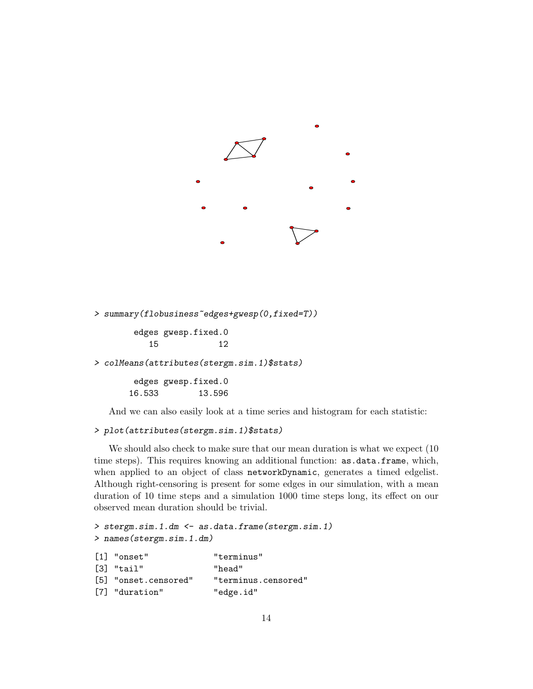

> summary(flobusiness~edges+gwesp(0,fixed=T))

edges gwesp.fixed.0 15 12

```
> colMeans(attributes(stergm.sim.1)$stats)
```
edges gwesp.fixed.0 16.533 13.596

And we can also easily look at a time series and histogram for each statistic:

### > plot(attributes(stergm.sim.1)\$stats)

We should also check to make sure that our mean duration is what we expect (10 time steps). This requires knowing an additional function: as.data.frame, which, when applied to an object of class networkDynamic, generates a timed edgelist. Although right-censoring is present for some edges in our simulation, with a mean duration of 10 time steps and a simulation 1000 time steps long, its effect on our observed mean duration should be trivial.

```
> stergm.sim.1.dm <- as.data.frame(stergm.sim.1)
> names(stergm.sim.1.dm)
[1] "onset" "terminus"
[3] "tail" "head"
[5] "onset.censored" "terminus.censored"
[7] "duration" "edge.id"
```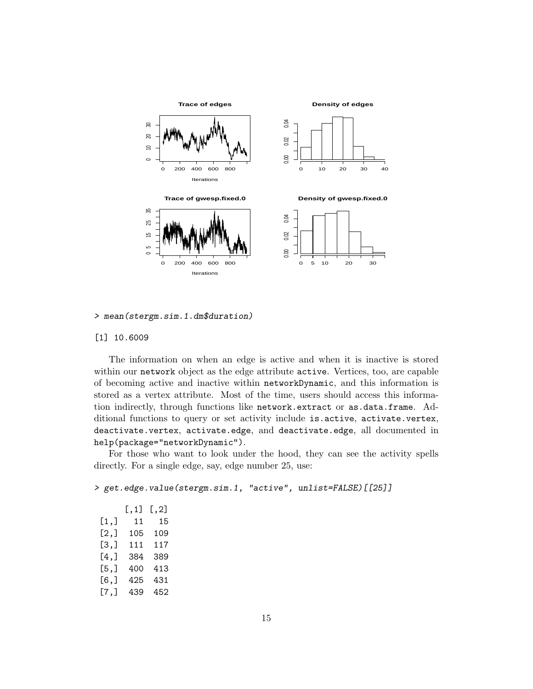

> mean(stergm.sim.1.dm\$duration)

#### [1] 10.6009

The information on when an edge is active and when it is inactive is stored within our network object as the edge attribute active. Vertices, too, are capable of becoming active and inactive within networkDynamic, and this information is stored as a vertex attribute. Most of the time, users should access this information indirectly, through functions like network.extract or as.data.frame. Additional functions to query or set activity include is.active, activate.vertex, deactivate.vertex, activate.edge, and deactivate.edge, all documented in help(package="networkDynamic").

For those who want to look under the hood, they can see the activity spells directly. For a single edge, say, edge number 25, use:

> get.edge.value(stergm.sim.1, "active", unlist=FALSE)[[25]]

|         | [,1] | $[\, , 2]$ |
|---------|------|------------|
| [1,]    | 11   | 15         |
| [2,]    | 105  | 109        |
| [3,]    | 111  | 117        |
| $[4,$ ] | 384  | 389        |
| [5,]    | 400  | 413        |
| $[6,$ ] | 425  | 431        |
| $[7,$ ] | 439  | 452        |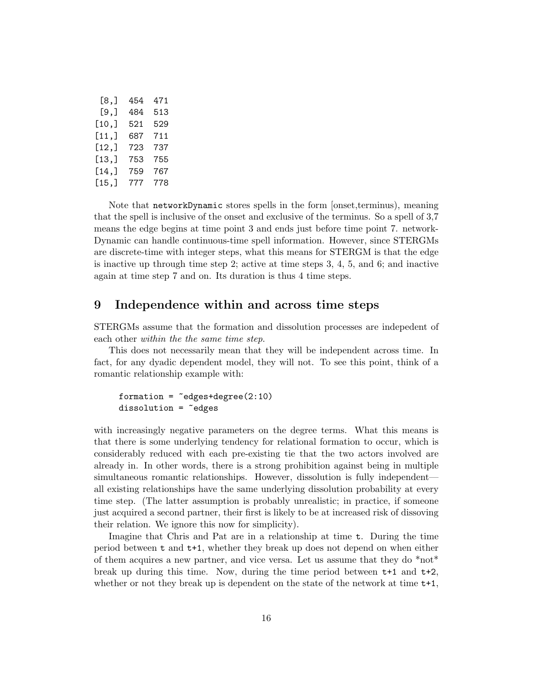| [8.]  | 454 | 471 |
|-------|-----|-----|
| [9.]  | 484 | 513 |
| [10,] | 521 | 529 |
| [11,] | 687 | 711 |
| [12,] | 723 | 737 |
| [13,] | 753 | 755 |
| [14,] | 759 | 767 |
| [15,] | 777 | 778 |

Note that networkDynamic stores spells in the form [onset,terminus), meaning that the spell is inclusive of the onset and exclusive of the terminus. So a spell of 3,7 means the edge begins at time point 3 and ends just before time point 7. network-Dynamic can handle continuous-time spell information. However, since STERGMs are discrete-time with integer steps, what this means for STERGM is that the edge is inactive up through time step 2; active at time steps 3, 4, 5, and 6; and inactive again at time step 7 and on. Its duration is thus 4 time steps.

### 9 Independence within and across time steps

STERGMs assume that the formation and dissolution processes are indepedent of each other within the the same time step.

This does not necessarily mean that they will be independent across time. In fact, for any dyadic dependent model, they will not. To see this point, think of a romantic relationship example with:

```
formation = <math>deges + degree(2:10)</math>dissolution = <math>^{\sim}</math> edges
```
with increasingly negative parameters on the degree terms. What this means is that there is some underlying tendency for relational formation to occur, which is considerably reduced with each pre-existing tie that the two actors involved are already in. In other words, there is a strong prohibition against being in multiple simultaneous romantic relationships. However, dissolution is fully independent all existing relationships have the same underlying dissolution probability at every time step. (The latter assumption is probably unrealistic; in practice, if someone just acquired a second partner, their first is likely to be at increased risk of dissoving their relation. We ignore this now for simplicity).

Imagine that Chris and Pat are in a relationship at time t. During the time period between t and t+1, whether they break up does not depend on when either of them acquires a new partner, and vice versa. Let us assume that they do \*not\* break up during this time. Now, during the time period between t+1 and t+2, whether or not they break up is dependent on the state of the network at time  $t+1$ ,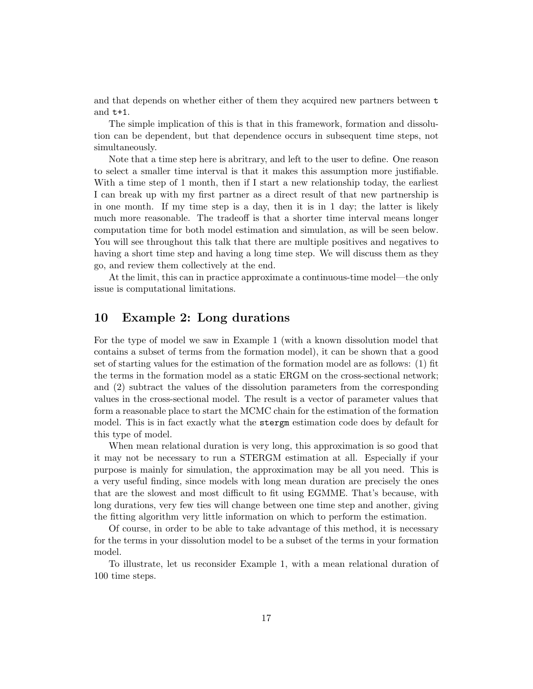and that depends on whether either of them they acquired new partners between t and t+1.

The simple implication of this is that in this framework, formation and dissolution can be dependent, but that dependence occurs in subsequent time steps, not simultaneously.

Note that a time step here is abritrary, and left to the user to define. One reason to select a smaller time interval is that it makes this assumption more justifiable. With a time step of 1 month, then if I start a new relationship today, the earliest I can break up with my first partner as a direct result of that new partnership is in one month. If my time step is a day, then it is in 1 day; the latter is likely much more reasonable. The tradeoff is that a shorter time interval means longer computation time for both model estimation and simulation, as will be seen below. You will see throughout this talk that there are multiple positives and negatives to having a short time step and having a long time step. We will discuss them as they go, and review them collectively at the end.

At the limit, this can in practice approximate a continuous-time model—the only issue is computational limitations.

### 10 Example 2: Long durations

For the type of model we saw in Example 1 (with a known dissolution model that contains a subset of terms from the formation model), it can be shown that a good set of starting values for the estimation of the formation model are as follows: (1) fit the terms in the formation model as a static ERGM on the cross-sectional network; and (2) subtract the values of the dissolution parameters from the corresponding values in the cross-sectional model. The result is a vector of parameter values that form a reasonable place to start the MCMC chain for the estimation of the formation model. This is in fact exactly what the stergm estimation code does by default for this type of model.

When mean relational duration is very long, this approximation is so good that it may not be necessary to run a STERGM estimation at all. Especially if your purpose is mainly for simulation, the approximation may be all you need. This is a very useful finding, since models with long mean duration are precisely the ones that are the slowest and most difficult to fit using EGMME. That's because, with long durations, very few ties will change between one time step and another, giving the fitting algorithm very little information on which to perform the estimation.

Of course, in order to be able to take advantage of this method, it is necessary for the terms in your dissolution model to be a subset of the terms in your formation model.

To illustrate, let us reconsider Example 1, with a mean relational duration of 100 time steps.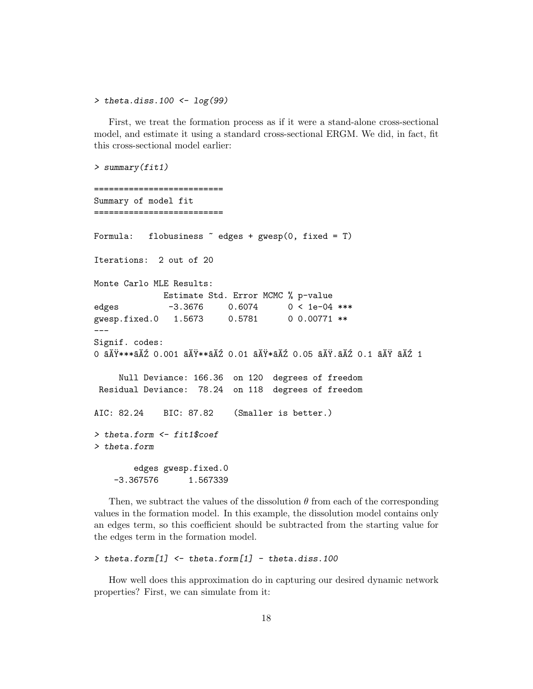> theta.diss.100  $\leftarrow$  log(99)

First, we treat the formation process as if it were a stand-alone cross-sectional model, and estimate it using a standard cross-sectional ERGM. We did, in fact, fit this cross-sectional model earlier:

```
> summary(fit1)
             ==========================
Summary of model fit
==========================
Formula: flobusiness \tilde{\phantom{a}} edges + gwesp(0, fixed = T)
Iterations: 2 out of 20
Monte Carlo MLE Results:
             Estimate Std. Error MCMC % p-value
edges -3.3676 0.6074 0 < 1e-04 ***
gwesp.fixed.0 1.5673 0.5781 0 0.00771 **
---
Signif. codes:
0 âĂŸ***âĂŹ 0.001 âĂŸ**âĂŹ 0.01 âĂŸ*âĂŹ 0.05 âĂŸ.âĂŹ 0.1 âĂŸ âĂŹ 1
    Null Deviance: 166.36 on 120 degrees of freedom
Residual Deviance: 78.24 on 118 degrees of freedom
AIC: 82.24 BIC: 87.82 (Smaller is better.)
> theta.form <- fit1$coef
> theta.form
       edges gwesp.fixed.0
    -3.367576 1.567339
```
Then, we subtract the values of the dissolution  $\theta$  from each of the corresponding values in the formation model. In this example, the dissolution model contains only an edges term, so this coefficient should be subtracted from the starting value for the edges term in the formation model.

```
> theta.form[1] <- theta.form[1] - theta.diss.100
```
How well does this approximation do in capturing our desired dynamic network properties? First, we can simulate from it: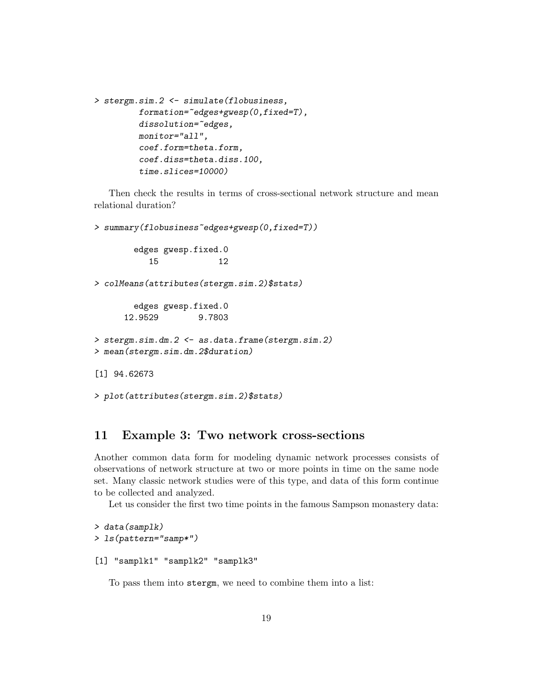```
> stergm.sim.2 <- simulate(flobusiness,
          formation = \texttt{`edges+g} \texttt{wesp}(0, fixed = T),
          dissolution="edges,
          monitor="all",
          coef.form=theta.form,
          coef.diss=theta.diss.100,
          time.slices=10000)
```
Then check the results in terms of cross-sectional network structure and mean relational duration?

```
> summary(flobusiness<sup>-cdges+gwesp(0,fixed=T))</sub></sup>
        edges gwesp.fixed.0
           15 12
> colMeans(attributes(stergm.sim.2)$stats)
        edges gwesp.fixed.0
      12.9529 9.7803
> stergm.sim.dm.2 <- as.data.frame(stergm.sim.2)
> mean(stergm.sim.dm.2$duration)
[1] 94.62673
> plot(attributes(stergm.sim.2)$stats)
```
### 11 Example 3: Two network cross-sections

Another common data form for modeling dynamic network processes consists of observations of network structure at two or more points in time on the same node set. Many classic network studies were of this type, and data of this form continue to be collected and analyzed.

Let us consider the first two time points in the famous Sampson monastery data:

```
> data(samplk)
> ls(pattern="samp*")
[1] "samplk1" "samplk2" "samplk3"
```
To pass them into stergm, we need to combine them into a list: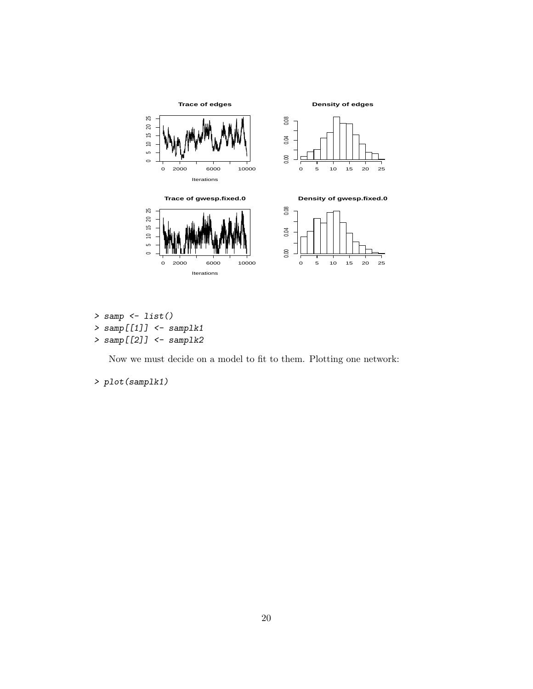

```
> samp <- list()
```

```
> samp[[1]] <- samplk1
```

```
> samp[[2]] <- samplk2
```
Now we must decide on a model to fit to them. Plotting one network:

> plot(samplk1)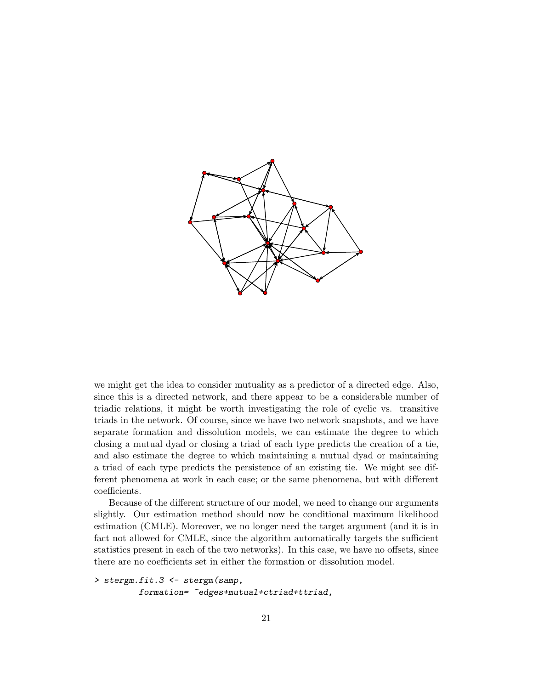

we might get the idea to consider mutuality as a predictor of a directed edge. Also, since this is a directed network, and there appear to be a considerable number of triadic relations, it might be worth investigating the role of cyclic vs. transitive triads in the network. Of course, since we have two network snapshots, and we have separate formation and dissolution models, we can estimate the degree to which closing a mutual dyad or closing a triad of each type predicts the creation of a tie, and also estimate the degree to which maintaining a mutual dyad or maintaining a triad of each type predicts the persistence of an existing tie. We might see different phenomena at work in each case; or the same phenomena, but with different coefficients.

Because of the different structure of our model, we need to change our arguments slightly. Our estimation method should now be conditional maximum likelihood estimation (CMLE). Moreover, we no longer need the target argument (and it is in fact not allowed for CMLE, since the algorithm automatically targets the sufficient statistics present in each of the two networks). In this case, we have no offsets, since there are no coefficients set in either the formation or dissolution model.

```
> stergm.fit.3 <- stergm(samp,
         formation= ~edges+mutual+ctriad+ttriad,
```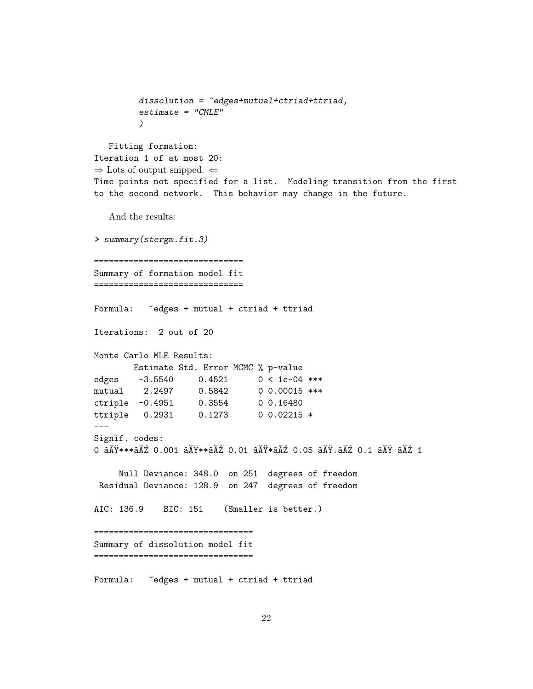```
dissolution = \texttt{``edges+mutual+critical+triad},estimate = "CMLE"
         )
   Fitting formation:
Iteration 1 of at most 20:
\Rightarrow Lots of output snipped. \LeftarrowTime points not specified for a list. Modeling transition from the first
to the second network. This behavior may change in the future.
   And the results:
> summary(stergm.fit.3)
==============================
Summary of formation model fit
==============================
Formula: "edges + mutual + ctriad + ttriad
Iterations: 2 out of 20
Monte Carlo MLE Results:
       Estimate Std. Error MCMC % p-value
edges -3.5540 0.4521 0 < 1e-04 ***
mutual 2.2497   0.5842   0  0.00015 ***
ctriple -0.4951 0.3554 0 0.16480
ttriple 0.2931 0.1273 0 0.02215 *
---
Signif. codes:
0 âĂŸ***âĂŹ 0.001 âĂŸ**âĂŹ 0.01 âĂŸ*âĂŹ 0.05 âĂŸ.âĂŹ 0.1 âĂŸ âĂŹ 1
     Null Deviance: 348.0 on 251 degrees of freedom
Residual Deviance: 128.9 on 247 degrees of freedom
AIC: 136.9 BIC: 151 (Smaller is better.)
================================
Summary of dissolution model fit
================================
Formula: "edges + mutual + ctriad + ttriad
```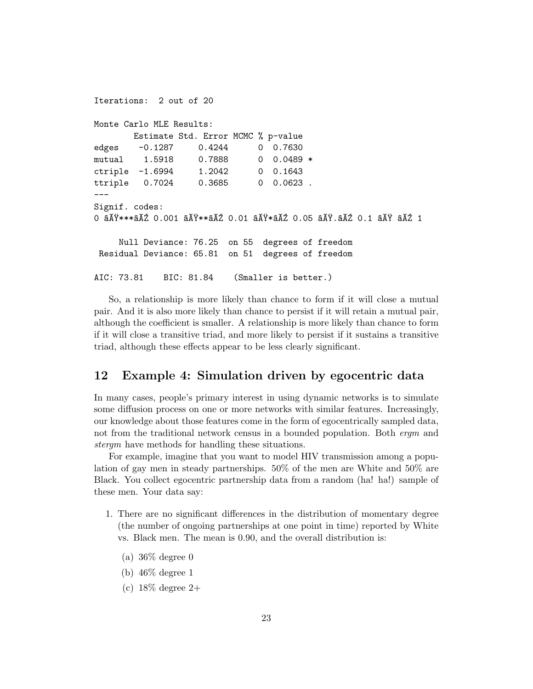```
Iterations: 2 out of 20
Monte Carlo MLE Results:
       Estimate Std. Error MCMC % p-value
edges -0.1287 0.4244 0 0.7630
mutual 1.5918  0.7888  0  0.0489 *
ctriple -1.6994 1.2042 0 0.1643
ttriple 0.7024 0.3685 0 0.0623 .
---
Signif. codes:
0 âĂŸ***âĂŹ 0.001 âĂŸ**âĂŹ 0.01 âĂŸ*âĂŹ 0.05 âĂŸ.âĂŹ 0.1 âĂŸ âĂŹ 1
    Null Deviance: 76.25 on 55 degrees of freedom
Residual Deviance: 65.81 on 51 degrees of freedom
AIC: 73.81 BIC: 81.84 (Smaller is better.)
```
So, a relationship is more likely than chance to form if it will close a mutual pair. And it is also more likely than chance to persist if it will retain a mutual pair, although the coefficient is smaller. A relationship is more likely than chance to form if it will close a transitive triad, and more likely to persist if it sustains a transitive triad, although these effects appear to be less clearly significant.

### 12 Example 4: Simulation driven by egocentric data

In many cases, people's primary interest in using dynamic networks is to simulate some diffusion process on one or more networks with similar features. Increasingly, our knowledge about those features come in the form of egocentrically sampled data, not from the traditional network census in a bounded population. Both *ergm* and stergm have methods for handling these situations.

For example, imagine that you want to model HIV transmission among a population of gay men in steady partnerships. 50% of the men are White and 50% are Black. You collect egocentric partnership data from a random (ha! ha!) sample of these men. Your data say:

- 1. There are no significant differences in the distribution of momentary degree (the number of ongoing partnerships at one point in time) reported by White vs. Black men. The mean is 0.90, and the overall distribution is:
	- (a) 36% degree 0
	- (b) 46% degree 1
	- (c)  $18\%$  degree 2+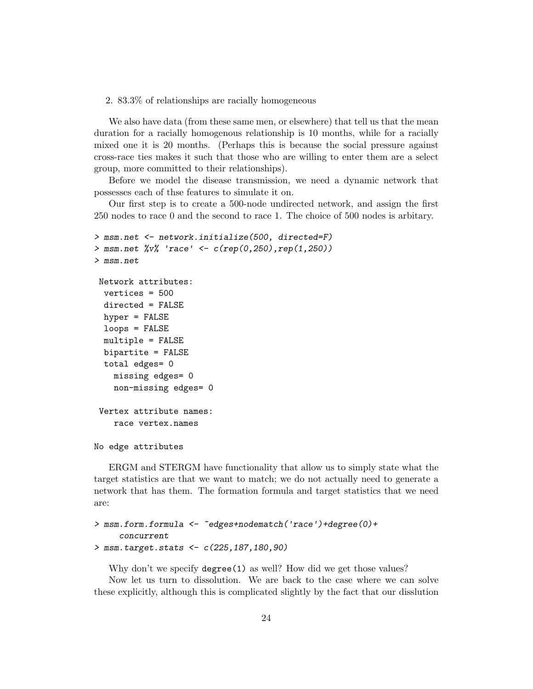#### 2. 83.3% of relationships are racially homogeneous

We also have data (from these same men, or elsewhere) that tell us that the mean duration for a racially homogenous relationship is 10 months, while for a racially mixed one it is 20 months. (Perhaps this is because the social pressure against cross-race ties makes it such that those who are willing to enter them are a select group, more committed to their relationships).

Before we model the disease transmission, we need a dynamic network that possesses each of thse features to simulate it on.

Our first step is to create a 500-node undirected network, and assign the first 250 nodes to race 0 and the second to race 1. The choice of 500 nodes is arbitary.

```
> msm.net <- network.initialize(500, directed=F)
> msm.net %v% 'race' <- c(rep(0,250),rep(1,250))
> msm.net
Network attributes:
 vertices = 500
 directed = FALSE
 hyper = FALSE
 loops = FALSE
 multiple = FALSE
 bipartite = FALSE
 total edges= 0
   missing edges= 0
   non-missing edges= 0
Vertex attribute names:
   race vertex.names
```

```
No edge attributes
```
ERGM and STERGM have functionality that allow us to simply state what the target statistics are that we want to match; we do not actually need to generate a network that has them. The formation formula and target statistics that we need are:

```
> msm.form.formula <- ~edges+nodematch('race')+degree(0)+
     concurrent
> msm.target.stats <- c(225,187,180,90)
```
Why don't we specify degree(1) as well? How did we get those values?

Now let us turn to dissolution. We are back to the case where we can solve these explicitly, although this is complicated slightly by the fact that our disslution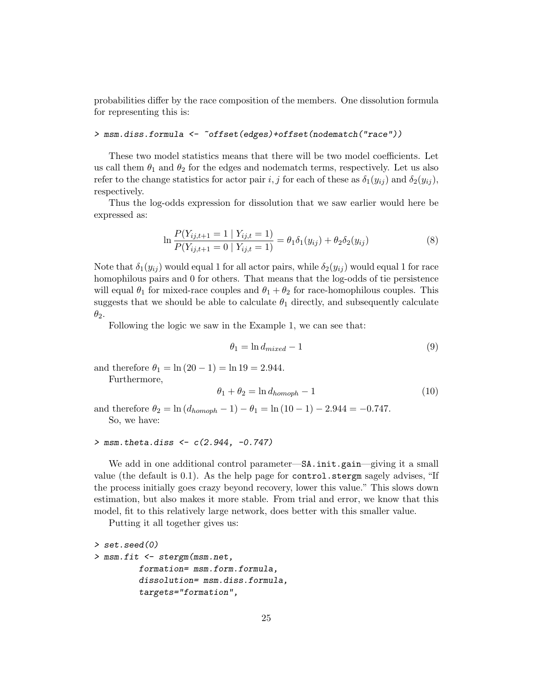probabilities differ by the race composition of the members. One dissolution formula for representing this is:

#### > msm.diss.formula <- ~offset(edges)+offset(nodematch("race"))

These two model statistics means that there will be two model coefficients. Let us call them  $\theta_1$  and  $\theta_2$  for the edges and nodematch terms, respectively. Let us also refer to the change statistics for actor pair i, j for each of these as  $\delta_1(y_{ij})$  and  $\delta_2(y_{ij})$ , respectively.

Thus the log-odds expression for dissolution that we saw earlier would here be expressed as:

$$
\ln \frac{P(Y_{ij,t+1} = 1 | Y_{ij,t} = 1)}{P(Y_{ij,t+1} = 0 | Y_{ij,t} = 1)} = \theta_1 \delta_1(y_{ij}) + \theta_2 \delta_2(y_{ij})
$$
\n(8)

Note that  $\delta_1(y_{ij})$  would equal 1 for all actor pairs, while  $\delta_2(y_{ij})$  would equal 1 for race homophilous pairs and 0 for others. That means that the log-odds of tie persistence will equal  $\theta_1$  for mixed-race couples and  $\theta_1 + \theta_2$  for race-homophilous couples. This suggests that we should be able to calculate  $\theta_1$  directly, and subsequently calculate  $\theta_2$ .

Following the logic we saw in the Example 1, we can see that:

$$
\theta_1 = \ln d_{mixed} - 1 \tag{9}
$$

and therefore  $\theta_1 = \ln (20 - 1) = \ln 19 = 2.944$ .

Furthermore,

$$
\theta_1 + \theta_2 = \ln d_{homoph} - 1 \tag{10}
$$

and therefore  $\theta_2 = \ln (d_{homoph} - 1) - \theta_1 = \ln (10 - 1) - 2.944 = -0.747$ . So, we have:

#### $>$  msm.theta.diss  $< c(2.944, -0.747)$

We add in one additional control parameter—SA.init.gain—giving it a small value (the default is 0.1). As the help page for control.stergm sagely advises, "If the process initially goes crazy beyond recovery, lower this value." This slows down estimation, but also makes it more stable. From trial and error, we know that this model, fit to this relatively large network, does better with this smaller value.

Putting it all together gives us:

```
> set.seed(0)
> msm.fit <- stergm(msm.net,
         formation= msm.form.formula,
         dissolution= msm.diss.formula,
         targets="formation",
```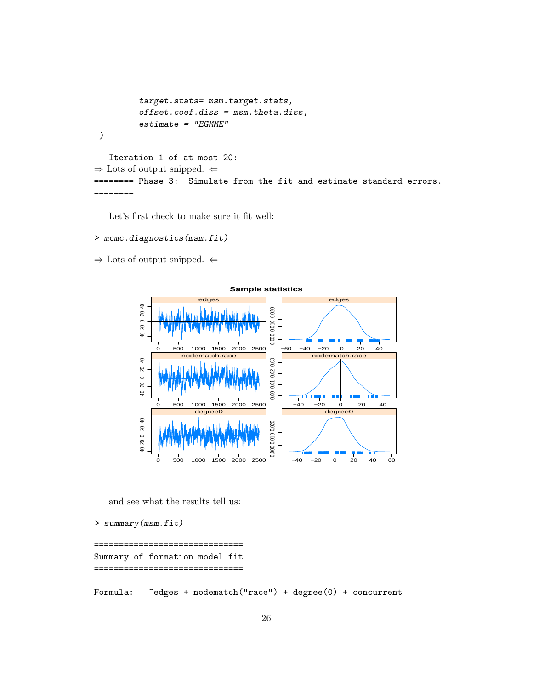```
target.stats= msm.target.stats,
          offset.coef.diss = msm.theta.diss,
          estimate = "EGMME"
 )
   Iteration 1 of at most 20:
\Rightarrow Lots of output snipped. \Leftarrow======== Phase 3: Simulate from the fit and estimate standard errors.
========
```
Let's first check to make sure it fit well:

#### > mcmc.diagnostics(msm.fit)

 $\Rightarrow$  Lots of output snipped.  $\Leftarrow$ 



and see what the results tell us:

```
> summary(msm.fit)
```

```
===================================
Summary of formation model fit
   ==============================
```
Formula: "edges + nodematch("race") + degree(0) + concurrent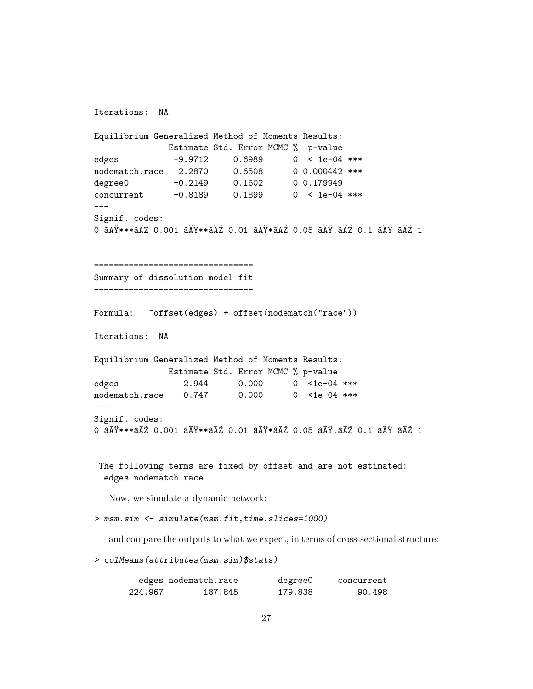```
Iterations: NA
Equilibrium Generalized Method of Moments Results:
                  Estimate Std. Error MCMC % p-value
edges -9.9712 0.6989 0 < 1e-04 ***
nodematch.race 2.2870 0.6508 0 0.000442 ***
degree0 -0.2149 0.1602 00.179949
concurrent -0.8189 0.1899 0 < 1e-04 ***
Signif. codes:
0 a\breve{\Lambda}Ÿ***a\breve{\Lambda}Ź 0.001 a\breve{\Lambda}Ÿ**a\breve{\Lambda}Ź 0.01 a\breve{\Lambda}Ya\breve{\Lambda} a\breve{\Lambda} a\breve{\Lambda} a\breve{\Lambda} a\breve{\Lambda} a\breve{\Lambda} a\breve{\Lambda} a\breve{\Lambda} a\breve{\Lambda} a\breve{\Lambda} a\breve{\Lambda} a\breve{\Lambda} a\breve{\Lambda} a\breve{\Lambda} a\breve{\Lambda} ================================
Summary of dissolution model fit
================================
Formula: "offset(edges) + offset(nodematch("race"))
Iterations: NA
Equilibrium Generalized Method of Moments Results:
                  Estimate Std. Error MCMC % p-value
edges 2.944 0.000 0 <1e-04 ***
nodematch.race -0.747 0.000 0 <1e-04 ***
Signif. codes:
0 a\overline{A}Ÿ ***a\overline{A}Z 0.001 a\overline{A}Y^*a\overline{A}Z 0.01 a\overline{A}Y^*a\overline{A}Z 0.05 a\overline{A}Y.a\overline{A}Z 0.1 a\overline{A}Y a\overline{A}Z 1
 The following terms are fixed by offset and are not estimated:
  edges nodematch.race
   Now, we simulate a dynamic network:
> msm.sim <- simulate(msm.fit,time.slices=1000)
   and compare the outputs to what we expect, in terms of cross-sectional structure:
> colMeans(attributes(msm.sim)$stats)
           edges nodematch.race degree0 concurrent
        224.967 187.845 179.838 90.498
```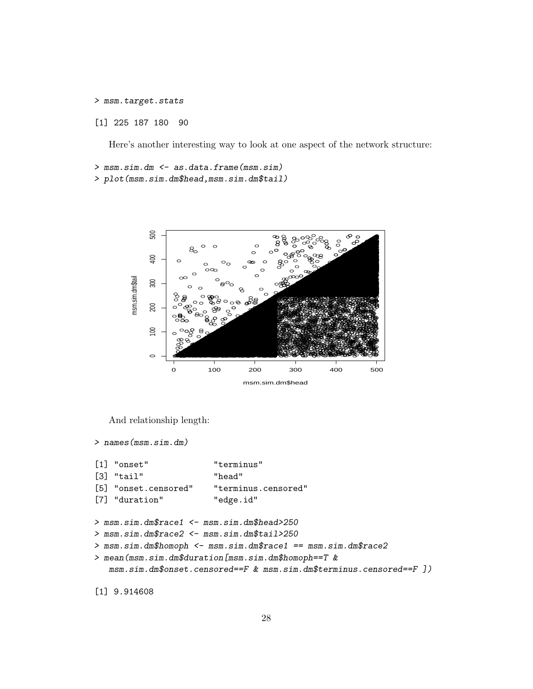> msm.target.stats

[1] 225 187 180 90

Here's another interesting way to look at one aspect of the network structure:

> msm.sim.dm <- as.data.frame(msm.sim) > plot (msm.sim.dm\$head, msm.sim.dm\$tail)



And relationship length:

```
> names (msm.sim.dm)
```

```
[1] "onset"
                        "terminus"
[3] "tail"
                        "head"
[5] "onset.censored"
                        "terminus.censored"
[7] "duration"
                        "edge.id"
> msm.sim.dm$race1 <- msm.sim.dm$head>250
> msm.sim.dm$race2 <- msm.sim.dm$tail>250
> msm.sim.dm$homoph <- msm.sim.dm$race1 == msm.sim.dm$race2
> mean(msm.sim.dm$duration[msm.sim.dm$homoph==T &
   msm.sim.dm\onset.censored==F & msm.sim.dm\terminus.censored==F ])
```
 $[1]$  9.914608